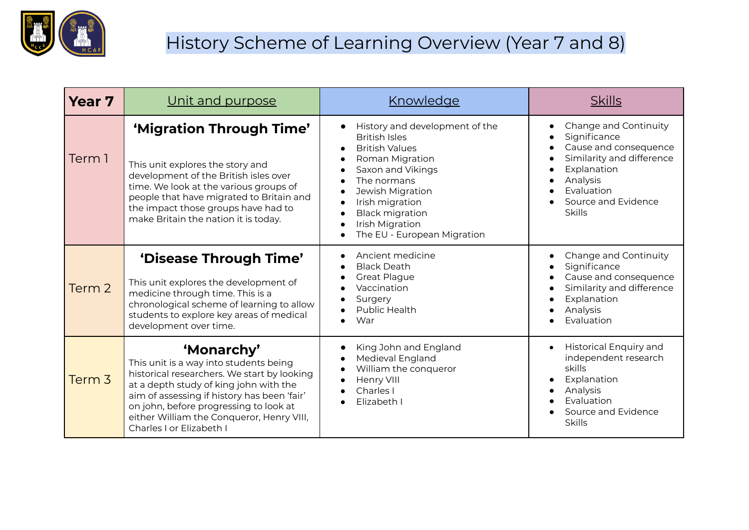

## History Scheme of Learning Overview (Year 7 and 8)

| <b>Year 7</b> | Unit and purpose                                                                                                                                                                                                                                                                                                | <u>Knowledge</u>                                                                                                                                                                                                                                          | <b>Skills</b>                                                                                                                                                                |
|---------------|-----------------------------------------------------------------------------------------------------------------------------------------------------------------------------------------------------------------------------------------------------------------------------------------------------------------|-----------------------------------------------------------------------------------------------------------------------------------------------------------------------------------------------------------------------------------------------------------|------------------------------------------------------------------------------------------------------------------------------------------------------------------------------|
| Term 1        | 'Migration Through Time'<br>This unit explores the story and<br>development of the British isles over<br>time. We look at the various groups of<br>people that have migrated to Britain and<br>the impact those groups have had to<br>make Britain the nation it is today.                                      | History and development of the<br><b>British Isles</b><br><b>British Values</b><br>Roman Migration<br>Saxon and Vikings<br>The normans<br>Jewish Migration<br>Irish migration<br><b>Black migration</b><br>Irish Migration<br>The EU - European Migration | Change and Continuity<br>Significance<br>Cause and consequence<br>Similarity and difference<br>Explanation<br>Analysis<br>Evaluation<br>Source and Evidence<br><b>Skills</b> |
| Term 2        | 'Disease Through Time'<br>This unit explores the development of<br>medicine through time. This is a<br>chronological scheme of learning to allow<br>students to explore key areas of medical<br>development over time.                                                                                          | Ancient medicine<br><b>Black Death</b><br><b>Great Plague</b><br>Vaccination<br>Surgery<br>Public Health<br>War                                                                                                                                           | Change and Continuity<br>Significance<br>Cause and consequence<br>Similarity and difference<br>Explanation<br>Analysis<br>Evaluation                                         |
| Term 3        | 'Monarchy'<br>This unit is a way into students being<br>historical researchers. We start by looking<br>at a depth study of king john with the<br>aim of assessing if history has been 'fair'<br>on john, before progressing to look at<br>either William the Conqueror, Henry VIII,<br>Charles I or Elizabeth I | King John and England<br>Medieval England<br>William the conqueror<br>Henry VIII<br>Charles I<br>Elizabeth I                                                                                                                                              | <b>Historical Enquiry and</b><br>independent research<br>skills<br>Explanation<br>Analysis<br>Evaluation<br>Source and Evidence<br><b>Skills</b>                             |